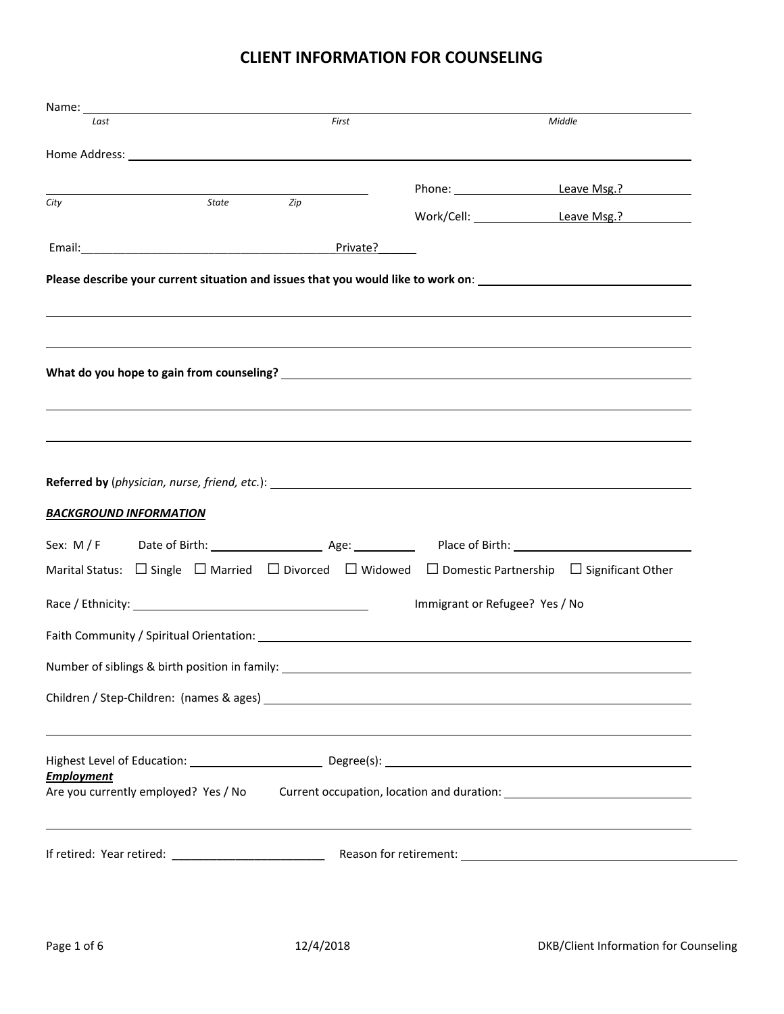# **CLIENT INFORMATION FOR COUNSELING**

| Name: Name and the second state of the second state of the second state of the second state of the second state of the second state of the second state of the second state of the second state of the second state of the sec |           |       |                                                                                  |                                                                                                                                  |
|--------------------------------------------------------------------------------------------------------------------------------------------------------------------------------------------------------------------------------|-----------|-------|----------------------------------------------------------------------------------|----------------------------------------------------------------------------------------------------------------------------------|
| Last                                                                                                                                                                                                                           |           | First |                                                                                  | Middle                                                                                                                           |
|                                                                                                                                                                                                                                |           |       |                                                                                  |                                                                                                                                  |
|                                                                                                                                                                                                                                |           |       |                                                                                  | Phone: Leave Msg.?                                                                                                               |
| City                                                                                                                                                                                                                           | State Zip |       |                                                                                  | Work/Cell: Leave Msg.?                                                                                                           |
|                                                                                                                                                                                                                                |           |       |                                                                                  |                                                                                                                                  |
| Email: Private?                                                                                                                                                                                                                |           |       |                                                                                  |                                                                                                                                  |
|                                                                                                                                                                                                                                |           |       |                                                                                  | Please describe your current situation and issues that you would like to work on: ____________________________                   |
|                                                                                                                                                                                                                                |           |       |                                                                                  |                                                                                                                                  |
|                                                                                                                                                                                                                                |           |       |                                                                                  |                                                                                                                                  |
|                                                                                                                                                                                                                                |           |       |                                                                                  |                                                                                                                                  |
|                                                                                                                                                                                                                                |           |       |                                                                                  |                                                                                                                                  |
|                                                                                                                                                                                                                                |           |       |                                                                                  |                                                                                                                                  |
|                                                                                                                                                                                                                                |           |       |                                                                                  |                                                                                                                                  |
|                                                                                                                                                                                                                                |           |       |                                                                                  |                                                                                                                                  |
|                                                                                                                                                                                                                                |           |       |                                                                                  |                                                                                                                                  |
|                                                                                                                                                                                                                                |           |       |                                                                                  |                                                                                                                                  |
|                                                                                                                                                                                                                                |           |       |                                                                                  |                                                                                                                                  |
|                                                                                                                                                                                                                                |           |       |                                                                                  |                                                                                                                                  |
|                                                                                                                                                                                                                                |           |       |                                                                                  |                                                                                                                                  |
|                                                                                                                                                                                                                                |           |       |                                                                                  |                                                                                                                                  |
|                                                                                                                                                                                                                                |           |       |                                                                                  | Marital Status: $\Box$ Single $\Box$ Married $\Box$ Divorced $\Box$ Widowed $\Box$ Domestic Partnership $\Box$ Significant Other |
|                                                                                                                                                                                                                                |           |       | Immigrant or Refugee? Yes / No                                                   |                                                                                                                                  |
|                                                                                                                                                                                                                                |           |       |                                                                                  |                                                                                                                                  |
|                                                                                                                                                                                                                                |           |       |                                                                                  |                                                                                                                                  |
|                                                                                                                                                                                                                                |           |       | Number of siblings & birth position in family: _________________________________ |                                                                                                                                  |
|                                                                                                                                                                                                                                |           |       |                                                                                  |                                                                                                                                  |
| <b>BACKGROUND INFORMATION</b>                                                                                                                                                                                                  |           |       |                                                                                  |                                                                                                                                  |
|                                                                                                                                                                                                                                |           |       |                                                                                  |                                                                                                                                  |
| <b>Employment</b>                                                                                                                                                                                                              |           |       |                                                                                  |                                                                                                                                  |
|                                                                                                                                                                                                                                |           |       |                                                                                  | Are you currently employed? Yes / No Current occupation, location and duration: 100000000000000000000000000000                   |
|                                                                                                                                                                                                                                |           |       |                                                                                  |                                                                                                                                  |
|                                                                                                                                                                                                                                |           |       |                                                                                  |                                                                                                                                  |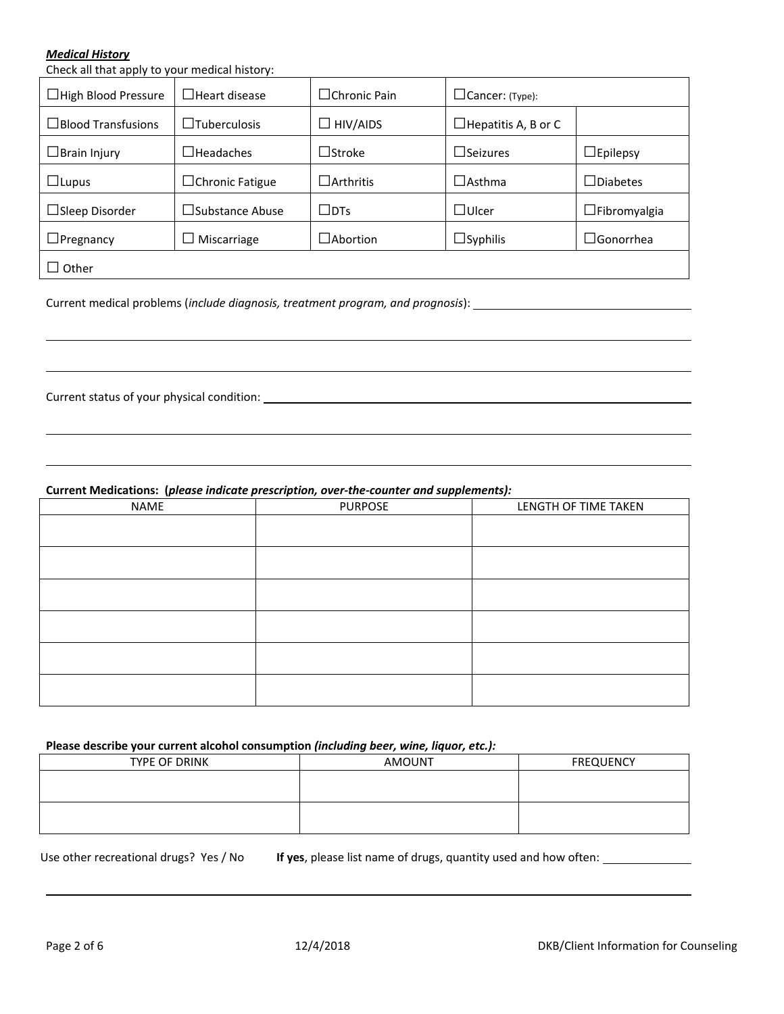### *Medical History*

Check all that apply to your medical history:

| $\Box$ High Blood Pressure | $\Box$ Heart disease   | ∟Chronic Pain                           | $\Box$ Cancer: (Type):     |                     |
|----------------------------|------------------------|-----------------------------------------|----------------------------|---------------------|
| $\Box$ Blood Transfusions  | $\Box$ Tuberculosis    | $\Box$ HIV/AIDS                         | $\Box$ Hepatitis A, B or C |                     |
| $\Box$ Brain Injury        | $\Box$ Headaches       | $\operatorname{\mathsf{I}}$ Stroke      | $\Box$ Seizures            | $\Box$ Epilepsy     |
| $\Box$ Lupus               | $\Box$ Chronic Fatigue | $\exists$ Arthritis                     | $\lrcorner$ Asthma         | $\Box$ Diabetes     |
| $\Box$ Sleep Disorder      | $\Box$ Substance Abuse | $\sqcup$ DTs                            | $\Box$ Ulcer               | $\Box$ Fibromyalgia |
| $\Box$ Pregnancy           | Miscarriage            | $\operatorname{\mathsf{\neg}A}$ bortion | $\Box$ Syphilis            | $\Box$ Gonorrhea    |
| Other                      |                        |                                         |                            |                     |

Current medical problems (*include diagnosis, treatment program, and prognosis*):

Current status of your physical condition:

**Current Medications: (***please indicate prescription, over-the-counter and supplements):*

| <b>NAME</b> | <b>PURPOSE</b> | LENGTH OF TIME TAKEN |
|-------------|----------------|----------------------|
|             |                |                      |
|             |                |                      |
|             |                |                      |
|             |                |                      |
|             |                |                      |
|             |                |                      |

### **Please describe your current alcohol consumption** *(including beer, wine, liquor, etc.):*

| TYPE OF DRINK | <b>AMOUNT</b> | <b>FREQUENCY</b> |
|---------------|---------------|------------------|
|               |               |                  |
|               |               |                  |
|               |               |                  |
|               |               |                  |

Use other recreational drugs? Yes / No **If yes**, please list name of drugs, quantity used and how often: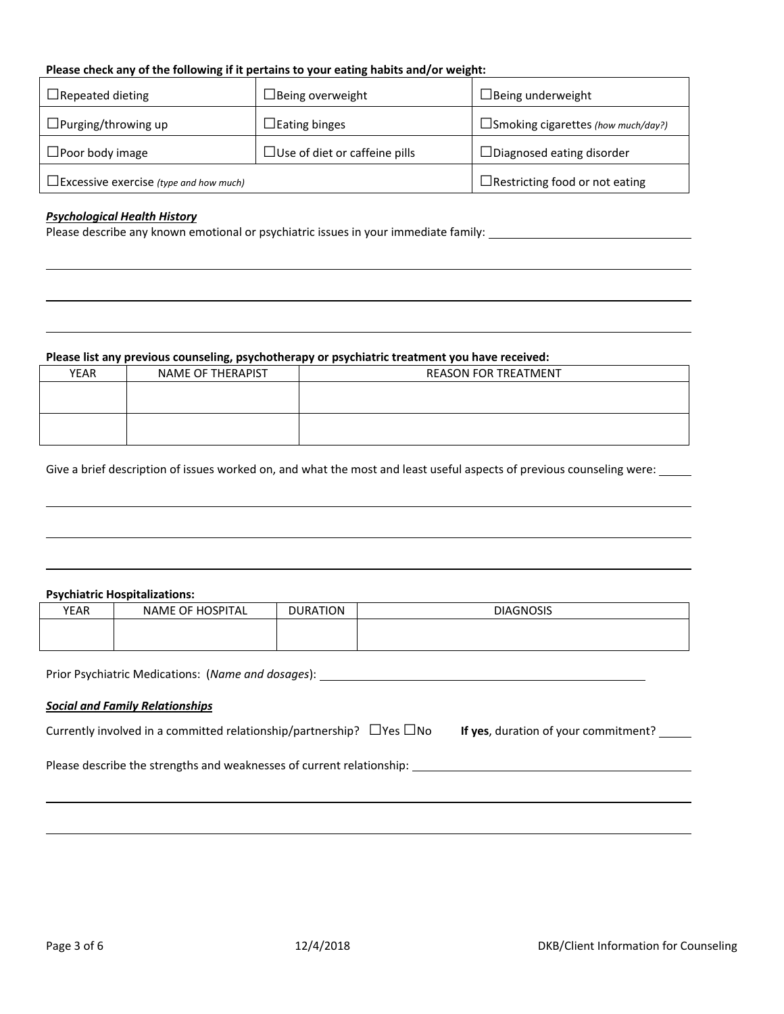# **Please check any of the following if it pertains to your eating habits and/or weight:**

| $\Box$ Repeated dieting                       | $\Box$ Being overweight              | $\Box$ Being underweight                  |
|-----------------------------------------------|--------------------------------------|-------------------------------------------|
| $\Box$ Purging/throwing up                    | $\Box$ Eating binges                 | $\Box$ Smoking cigarettes (how much/day?) |
| $\Box$ Poor body image                        | $\Box$ Use of diet or caffeine pills | $\Box$ Diagnosed eating disorder          |
| $\Box$ Excessive exercise (type and how much) |                                      | $\Box$ Restricting food or not eating     |

#### *Psychological Health History*

Please describe any known emotional or psychiatric issues in your immediate family: \_\_\_\_\_\_\_\_\_\_\_\_\_\_\_\_\_\_\_\_\_\_\_\_\_\_

### **Please list any previous counseling, psychotherapy or psychiatric treatment you have received:**

| <b>YEAR</b> | NAME OF THERAPIST | <b>REASON FOR TREATMENT</b> |
|-------------|-------------------|-----------------------------|
|             |                   |                             |
|             |                   |                             |
|             |                   |                             |
|             |                   |                             |
|             |                   |                             |

Give a brief description of issues worked on, and what the most and least useful aspects of previous counseling were: \_\_\_\_\_

#### **Psychiatric Hospitalizations:**

| YEAR | NAME OF HOSPITAL | <b>DURATION</b> | <b>DIAGNOSIS</b> |
|------|------------------|-----------------|------------------|
|      |                  |                 |                  |
|      |                  |                 |                  |

Prior Psychiatric Medications: (*Name and dosages*):

## *Social and Family Relationships*

Currently involved in a committed relationship/partnership?  $\Box$  Yes  $\Box$  No **If yes**, duration of your commitment?  $\Box$ 

Please describe the strengths and weaknesses of current relationship: \_\_\_\_\_\_\_\_\_\_\_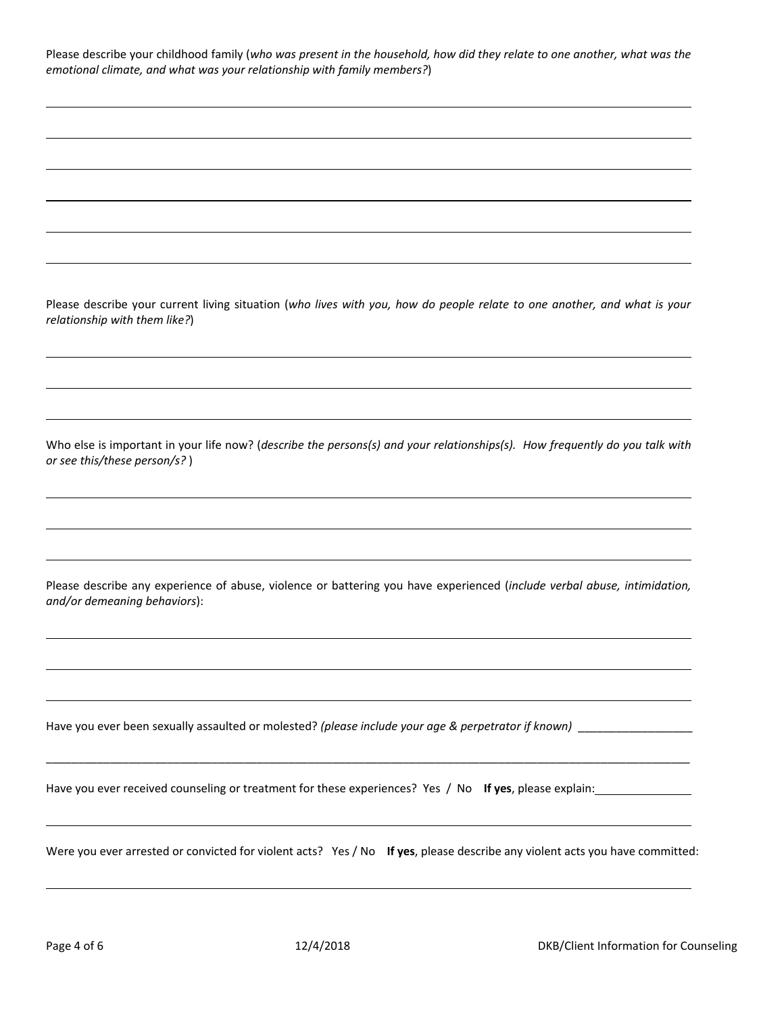| Please describe your childhood family (who was present in the household, how did they relate to one another, what was the |  |
|---------------------------------------------------------------------------------------------------------------------------|--|
| emotional climate, and what was your relationship with family members?)                                                   |  |

Please describe your current living situation (*who lives with you, how do people relate to one another, and what is your relationship with them like?*)

Who else is important in your life now? (*describe the persons(s) and your relationships(s). How frequently do you talk with or see this/these person/s?* )

Please describe any experience of abuse, violence or battering you have experienced (*include verbal abuse, intimidation, and/or demeaning behaviors*):

Have you ever been sexually assaulted or molested? *(please include your age & perpetrator if known)* \_\_\_\_\_\_\_\_\_\_\_\_\_\_\_\_\_\_

Have you ever received counseling or treatment for these experiences? Yes / No **If yes**, please explain:

Were you ever arrested or convicted for violent acts? Yes / No **If yes**, please describe any violent acts you have committed:

\_\_\_\_\_\_\_\_\_\_\_\_\_\_\_\_\_\_\_\_\_\_\_\_\_\_\_\_\_\_\_\_\_\_\_\_\_\_\_\_\_\_\_\_\_\_\_\_\_\_\_\_\_\_\_\_\_\_\_\_\_\_\_\_\_\_\_\_\_\_\_\_\_\_\_\_\_\_\_\_\_\_\_\_\_\_\_\_\_\_\_\_\_\_\_\_\_\_\_\_\_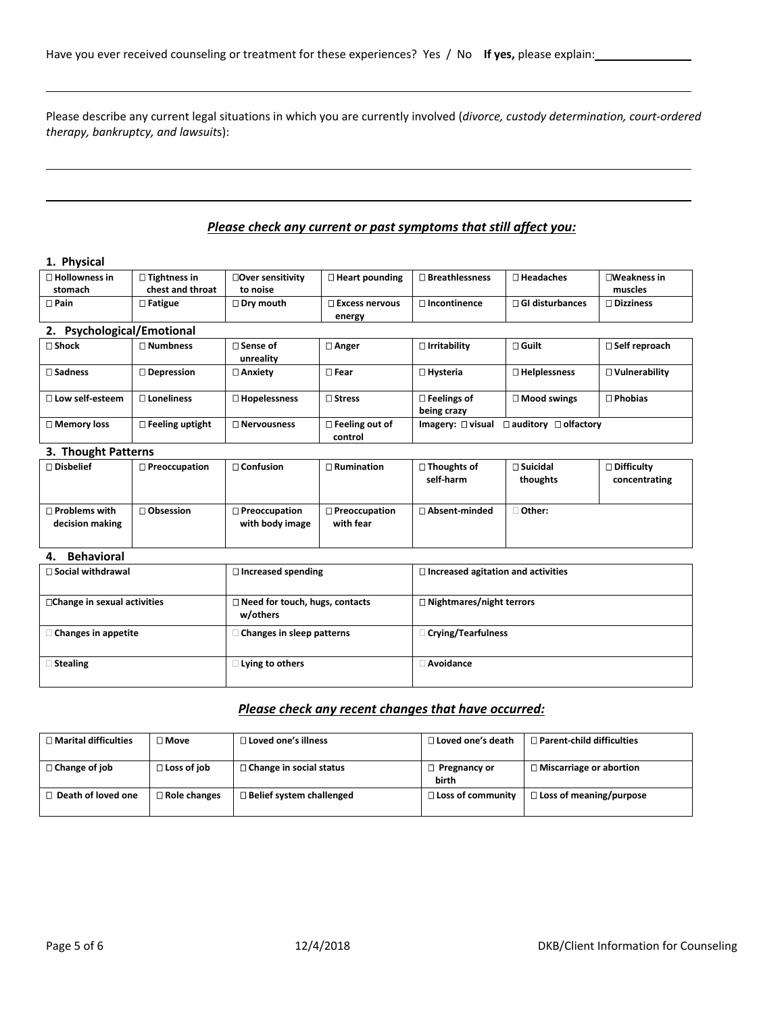Please describe any current legal situations in which you are currently involved (*divorce, custody determination, court-ordered therapy, bankruptcy, and lawsuit*s):

# *Please check any current or past symptoms that still affect you:*

## **1. Physical**

| $\Box$ Hollowness in<br>stomach | $\Box$ Tightness in<br>chest and throat | □Over sensitivity<br>to noise | $\Box$ Heart pounding               | $\Box$ Breathlessness             | $\sqcap$ Headaches               | <b>□Weakness in</b><br>muscles |
|---------------------------------|-----------------------------------------|-------------------------------|-------------------------------------|-----------------------------------|----------------------------------|--------------------------------|
| $\Box$ Pain                     | $\Box$ Fatigue                          | $\square$ Dry mouth           | $\Box$ Excess nervous<br>energy     | $\square$ Incontinence            | $\Box$ GI disturbances           | $\Box$ Dizziness               |
| <b>Psychological/Emotional</b>  |                                         |                               |                                     |                                   |                                  |                                |
| $\Box$ Shock                    | $\Box$ Numbness                         | $\Box$ Sense of<br>unreality  | □ Anger                             | $\Box$ Irritability               | $\sqcap$ Guilt                   | $\Box$ Self reproach           |
| $\Box$ Sadness                  | $\square$ Depression                    | □ Anxietv                     | $\Box$ Fear                         | □ Hysteria                        | $\square$ Helplessness           | $\Box$ Vulnerability           |
| $\Box$ Low self-esteem          | $\sqcap$ Loneliness                     | $\Box$ Hopelessness           | $\sqcap$ Stress                     | $\Box$ Feelings of<br>being crazy | $\Box$ Mood swings               | $\Box$ Phobias                 |
| □ Memory loss                   | $\Box$ Feeling uptight                  | $\Box$ Nervousness            | $\square$ Feeling out of<br>control | Imagery: $\square$ visual         | $\Box$ auditory $\Box$ olfactory |                                |
| 3. Thought Patterns             |                                         |                               |                                     |                                   |                                  |                                |

| $\square$ Disbelief                     | $\Box$ Preoccupation | $\Box$ Confusion                        | $\Box$ Rumination                 | $\Box$ Thoughts of<br>self-harm | $\square$ Suicidal<br>thoughts | $\square$ Difficulty<br>concentrating |
|-----------------------------------------|----------------------|-----------------------------------------|-----------------------------------|---------------------------------|--------------------------------|---------------------------------------|
| $\Box$ Problems with<br>decision making | $\Box$ Obsession     | $\Box$ Preoccupation<br>with body image | $\Box$ Preoccupation<br>with fear | □ Absent-minded                 | Other:                         |                                       |

# **4. Behavioral**

| $\Box$ Social withdrawal           | $\Box$ Increased spending                         | $\Box$ Increased agitation and activities |
|------------------------------------|---------------------------------------------------|-------------------------------------------|
| $\Box$ Change in sexual activities | $\Box$ Need for touch, hugs, contacts<br>w/others | $\Box$ Nightmares/night terrors           |
| $\Box$ Changes in appetite         | □ Changes in sleep patterns                       | $\Box$ Crying/Tearfulness                 |
| Stealing                           | Lying to others                                   | Avoidance                                 |

## *Please check any recent changes that have occurred:*

| $\Box$ Marital difficulties | ∩ Move                | $\Box$ Loved one's illness      | $\Box$ Loved one's death     | $\Box$ Parent-child difficulties |
|-----------------------------|-----------------------|---------------------------------|------------------------------|----------------------------------|
| $\Box$ Change of job        | $\square$ Loss of job | $\Box$ Change in social status  | $\Box$ Pregnancy or<br>birth | $\Box$ Miscarriage or abortion   |
| $\Box$ Death of loved one   | $\Box$ Role changes   | $\Box$ Belief system challenged | $\Box$ Loss of community     | $\Box$ Loss of meaning/purpose   |